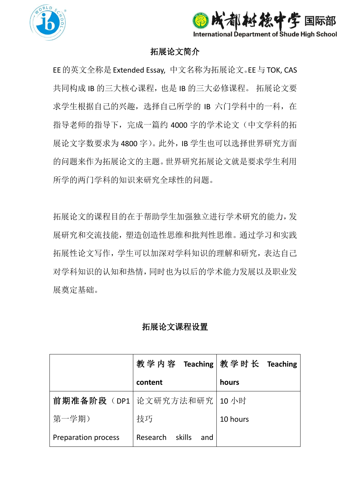



## 拓展论文简介

EE的英文全称是Extended Essay, 中文名称为拓展论文。EE与TOK, CAS 共同构成 IB 的三大核心课程, 也是 IB 的三大必修课程。拓展论文要 求学生根据自己的兴趣, 选择自己所学的 IB 六门学科中的一科, 在 指导老师的指导下,完成一篇约 4000 字的学术论文(中文学科的拓 展论文字数要求为 4800 字)。此外, IB 学生也可以选择世界研究方面 的问题来作为拓展论文的主题。世界研究拓展论文就是要求学生利用 所学的两门学科的知识来研究全球性的问题。

拓展论文的课程目的在于帮助学生加强独立进行学术研究的能力,发 展研究和交流技能,塑造创造性思维和批判性思维。通过学习和实践 拓展性论文写作,学生可以加深对学科知识的理解和研究,表达自己 对学科知识的认知和热情,同时也为以后的学术能力发展以及职业发 展奠定基础。

## 拓展论文课程设置

|                     |                              | 教学内容 Teaching   教学时长 Teaching |
|---------------------|------------------------------|-------------------------------|
|                     | content                      | hours                         |
|                     | 前期准备阶段(DP1 论文研究方法和研究   10 小时 |                               |
| 第一学期)               | 技巧                           | 10 hours                      |
| Preparation process | Research skills<br>and       |                               |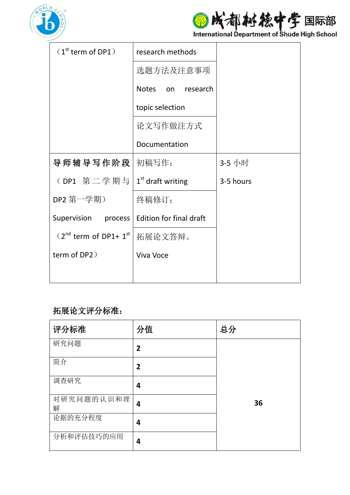

图成都秘德中学国际部

| $(1st$ term of DP1)             | research methods               |           |
|---------------------------------|--------------------------------|-----------|
|                                 | 选题方法及注意事项                      |           |
|                                 | Notes<br>on research           |           |
|                                 | topic selection                |           |
|                                 | 论文写作做注方式                       |           |
|                                 | Documentation                  |           |
| 导师辅导写作阶段                        | 初稿写作;                          | 3-5 小时    |
| (DP1 第二学期与                      | $1st$ draft writing            | 3-5 hours |
| DP2 第一学期)                       | 终稿修订;                          |           |
| Supervision process             | <b>Edition for final draft</b> |           |
| $(2^{nd}$ term of DP1+ $1^{st}$ | 拓展论文答辩。                        |           |
| term of DP2)                    | Viva Voce                      |           |
|                                 |                                |           |

## 拓展论文评分标准:

| 评分标准            | 分值             | 总分 |
|-----------------|----------------|----|
| 研究问题            | $\overline{2}$ |    |
| 简介              | $\overline{2}$ |    |
| 调查研究            | 4              |    |
| 对研究问题的认识和理<br>解 | 4              | 36 |
| 论据的充分程度         | 4              |    |
| 分析和评估技巧的应用      | 4              |    |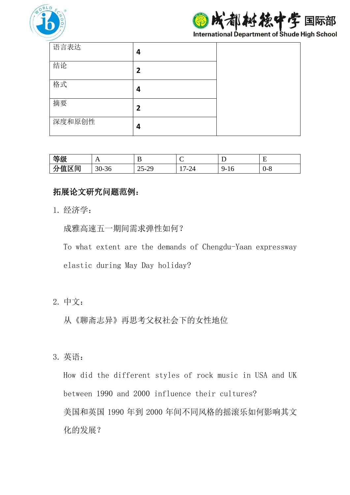

际部

**International Department of Shude High School** 

| 语言表达   | 4              |  |
|--------|----------------|--|
| 结论     | $\overline{2}$ |  |
| 格式     | 4              |  |
| 摘要     | $\overline{2}$ |  |
| 深度和原创性 | 4              |  |

| 等级           | A                      | р<br>≖                                     | ◡                              | ∸        | ┳<br><b>.</b> |
|--------------|------------------------|--------------------------------------------|--------------------------------|----------|---------------|
| 分值区间<br>27 I | n n<br>$\sim$<br>30-30 | າ ~<br>$\sim$<br><b>1-</b><br>ر ے-<br>' ب⊿ | $\overline{\phantom{0}}$<br>44 | 10<br>ч- | $0 - 8$       |

## 拓展论文研究问题范例:

1. 经济学:

成雅高速五一期间需求弹性如何?

To what extent are the demands of Chengdu-Yaan expressway

elastic during May Day holiday?

2. 中文:

从《聊斋志异》再思考父权社会下的女性地位

3. 英语:

How did the different styles of rock music in USA and UK between 1990 and 2000 influence their cultures? 美国和英国 1990 年到 2000 年间不同风格的摇滚乐如何影响其文 化的发展?